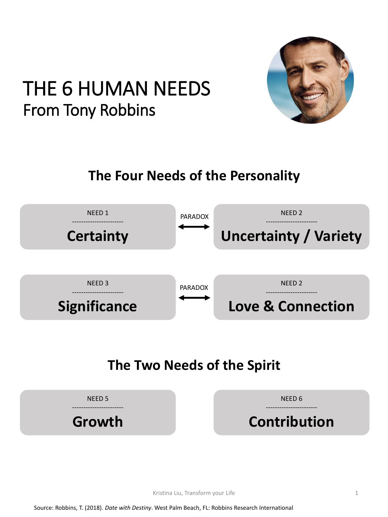# THE 6 HUMAN NEEDS From Tony Robbins

## **The Four Needs of the Personality**



#### **The Two Needs of the Spirit**





1

Source: Robbins, T. (2018). *Date with Destiny*. West Palm Beach, FL: Robbins Research International

Kristina Liu, Transform your Life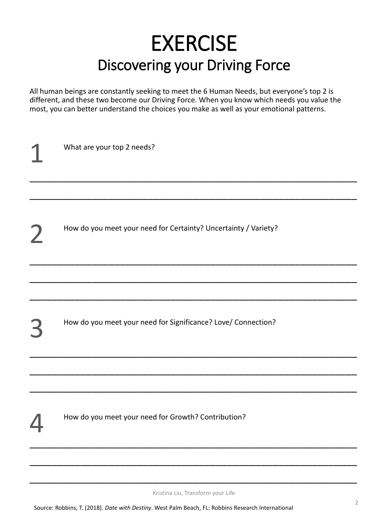# EXERCISE Discovering your Driving Force

All human beings are constantly seeking to meet the 6 Human Needs, but everyone's top 2 is different, and these two become our Driving Force. When you know which needs you value the most, you can better understand the choices you make as well as your emotional patterns.

\_\_\_\_\_\_\_\_\_\_\_\_\_\_\_\_\_\_\_\_\_\_\_\_\_\_\_\_\_\_\_\_\_\_\_\_\_\_\_\_\_\_\_\_\_\_\_\_\_\_\_\_\_\_\_\_\_\_

\_\_\_\_\_\_\_\_\_\_\_\_\_\_\_\_\_\_\_\_\_\_\_\_\_\_\_\_\_\_\_\_\_\_\_\_\_\_\_\_\_\_\_\_\_\_\_\_\_\_\_\_\_\_\_\_\_\_

How do you meet your need for Certainty? Uncertainty / Variety? 2

How do you meet your need for Significance? Love/ Connection?

\_\_\_\_\_\_\_\_\_\_\_\_\_\_\_\_\_\_\_\_\_\_\_\_\_\_\_\_\_\_\_\_\_\_\_\_\_\_\_\_\_\_\_\_\_\_\_\_\_\_\_\_\_\_\_\_\_\_

\_\_\_\_\_\_\_\_\_\_\_\_\_\_\_\_\_\_\_\_\_\_\_\_\_\_\_\_\_\_\_\_\_\_\_\_\_\_\_\_\_\_\_\_\_\_\_\_\_\_\_\_\_\_\_\_\_\_

\_\_\_\_\_\_\_\_\_\_\_\_\_\_\_\_\_\_\_\_\_\_\_\_\_\_\_\_\_\_\_\_\_\_\_\_\_\_\_\_\_\_\_\_\_\_\_\_\_\_\_\_\_\_\_\_\_\_

\_\_\_\_\_\_\_\_\_\_\_\_\_\_\_\_\_\_\_\_\_\_\_\_\_\_\_\_\_\_\_\_\_\_\_\_\_\_\_\_\_\_\_\_\_\_\_\_\_\_\_\_\_\_\_\_\_\_

\_\_\_\_\_\_\_\_\_\_\_\_\_\_\_\_\_\_\_\_\_\_\_\_\_\_\_\_\_\_\_\_\_\_\_\_\_\_\_\_\_\_\_\_\_\_\_\_\_\_\_\_\_\_\_\_\_\_

\_\_\_\_\_\_\_\_\_\_\_\_\_\_\_\_\_\_\_\_\_\_\_\_\_\_\_\_\_\_\_\_\_\_\_\_\_\_\_\_\_\_\_\_\_\_\_\_\_\_\_\_\_\_\_\_\_\_

What are your top 2 needs?

## How do you meet your need for Growth? Contribution? 4

\_\_\_\_\_\_\_\_\_\_\_\_\_\_\_\_\_\_\_\_\_\_\_\_\_\_\_\_\_\_\_\_\_\_\_\_\_\_\_\_\_\_\_\_\_\_\_\_\_\_\_\_\_\_\_\_\_\_

\_\_\_\_\_\_\_\_\_\_\_\_\_\_\_\_\_\_\_\_\_\_\_\_\_\_\_\_\_\_\_\_\_\_\_\_\_\_\_\_\_\_\_\_\_\_\_\_\_\_\_\_\_\_\_\_\_\_

\_\_\_\_\_\_\_\_\_\_\_\_\_\_\_\_\_\_\_\_\_\_\_\_\_\_\_\_\_\_\_\_\_\_\_\_\_\_\_\_\_\_\_\_\_\_\_\_\_\_\_\_\_\_\_\_\_\_

Source: Robbins, T. (2018). *Date with Destiny*. West Palm Beach, FL: Robbins Research International

Kristina Liu, Transform your Life